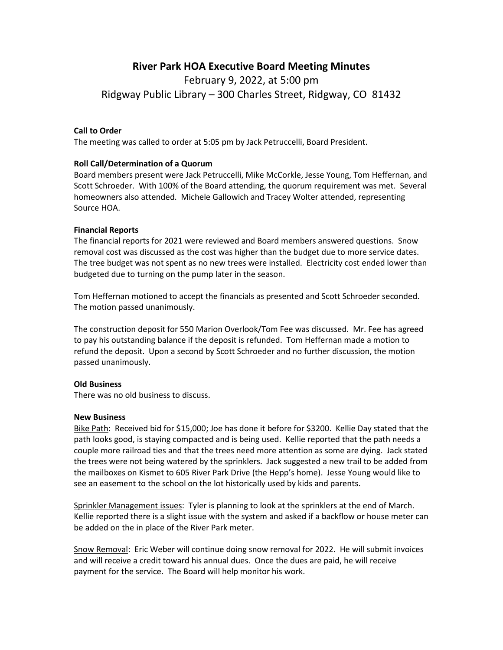# **River Park HOA Executive Board Meeting Minutes**

February 9, 2022, at 5:00 pm Ridgway Public Library – 300 Charles Street, Ridgway, CO 81432

## **Call to Order**

The meeting was called to order at 5:05 pm by Jack Petruccelli, Board President.

## **Roll Call/Determination of a Quorum**

Board members present were Jack Petruccelli, Mike McCorkle, Jesse Young, Tom Heffernan, and Scott Schroeder. With 100% of the Board attending, the quorum requirement was met. Several homeowners also attended. Michele Gallowich and Tracey Wolter attended, representing Source HOA.

## **Financial Reports**

The financial reports for 2021 were reviewed and Board members answered questions. Snow removal cost was discussed as the cost was higher than the budget due to more service dates. The tree budget was not spent as no new trees were installed. Electricity cost ended lower than budgeted due to turning on the pump later in the season.

Tom Heffernan motioned to accept the financials as presented and Scott Schroeder seconded. The motion passed unanimously.

The construction deposit for 550 Marion Overlook/Tom Fee was discussed. Mr. Fee has agreed to pay his outstanding balance if the deposit is refunded. Tom Heffernan made a motion to refund the deposit. Upon a second by Scott Schroeder and no further discussion, the motion passed unanimously.

## **Old Business**

There was no old business to discuss.

## **New Business**

Bike Path: Received bid for \$15,000; Joe has done it before for \$3200. Kellie Day stated that the path looks good, is staying compacted and is being used. Kellie reported that the path needs a couple more railroad ties and that the trees need more attention as some are dying. Jack stated the trees were not being watered by the sprinklers. Jack suggested a new trail to be added from the mailboxes on Kismet to 605 River Park Drive (the Hepp's home). Jesse Young would like to see an easement to the school on the lot historically used by kids and parents.

Sprinkler Management issues: Tyler is planning to look at the sprinklers at the end of March. Kellie reported there is a slight issue with the system and asked if a backflow or house meter can be added on the in place of the River Park meter.

Snow Removal: Eric Weber will continue doing snow removal for 2022. He will submit invoices and will receive a credit toward his annual dues. Once the dues are paid, he will receive payment for the service. The Board will help monitor his work.